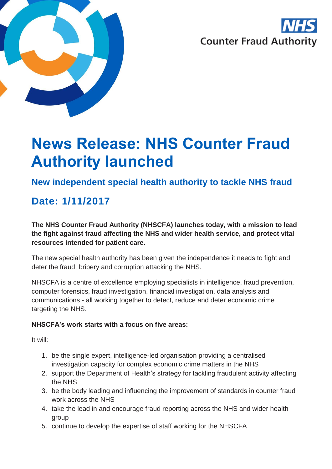



# **News Release: NHS Counter Fraud Authority launched**

### **New independent special health authority to tackle NHS fraud**

## **Date: 1/11/2017**

**The NHS Counter Fraud Authority (NHSCFA) launches today, with a mission to lead the fight against fraud affecting the NHS and wider health service, and protect vital resources intended for patient care.** 

The new special health authority has been given the independence it needs to fight and deter the fraud, bribery and corruption attacking the NHS.

NHSCFA is a centre of excellence employing specialists in intelligence, fraud prevention, computer forensics, fraud investigation, financial investigation, data analysis and communications - all working together to detect, reduce and deter economic crime targeting the NHS.

#### **NHSCFA's work starts with a focus on five areas:**

It will:

- 1. be the single expert, intelligence-led organisation providing a centralised investigation capacity for complex economic crime matters in the NHS
- 2. support the Department of Health's strategy for tackling fraudulent activity affecting the NHS
- 3. be the body leading and influencing the improvement of standards in counter fraud work across the NHS
- 4. take the lead in and encourage fraud reporting across the NHS and wider health group
- 5. continue to develop the expertise of staff working for the NHSCFA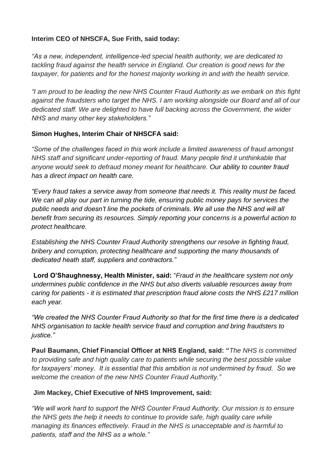#### **Interim CEO of NHSCFA, Sue Frith, said today:**

*"As a new, independent, intelligence-led special health authority, we are dedicated to tackling fraud against the health service in England. Our creation is good news for the taxpayer, for patients and for the honest majority working in and with the health service.*

*"I am proud to be leading the new NHS Counter Fraud Authority as we embark on this fight against the fraudsters who target the NHS. I am working alongside our Board and all of our dedicated staff. We are delighted to have full backing across the Government, the wider NHS and many other key stakeholders."*

#### **Simon Hughes, Interim Chair of NHSCFA said:**

*"Some of the challenges faced in this work include a limited awareness of fraud amongst NHS staff and significant under-reporting of fraud. Many people find it unthinkable that anyone would seek to defraud money meant for healthcare. Our ability to counter fraud has a direct impact on health care.* 

*"Every fraud takes a service away from someone that needs it. This reality must be faced. We can all play our part in turning the tide, ensuring public money pays for services the public needs and doesn't line the pockets of criminals. We all use the NHS and will all benefit from securing its resources. Simply reporting your concerns is a powerful action to protect healthcare.*

*Establishing the NHS Counter Fraud Authority strengthens our resolve in fighting fraud, bribery and corruption, protecting healthcare and supporting the many thousands of dedicated heath staff, suppliers and contractors."*

**Lord O'Shaughnessy, Health Minister, said:** "*Fraud in the healthcare system not only undermines public confidence in the NHS but also diverts valuable resources away from caring for patients - it is estimated that prescription fraud alone costs the NHS £217 million each year.*

*"We created the NHS Counter Fraud Authority so that for the first time there is a dedicated NHS organisation to tackle health service fraud and corruption and bring fraudsters to justice."* 

**Paul Baumann, Chief Financial Officer at NHS England, said: "***The NHS is committed to providing safe and high quality care to patients while securing the best possible value for taxpayers' money. It is essential that this ambition is not undermined by fraud. So we welcome the creation of the new NHS Counter Fraud Authority."*

#### **Jim Mackey, Chief Executive of NHS Improvement, said:**

*"We will work hard to support the NHS Counter Fraud Authority. Our mission is to ensure the NHS gets the help it needs to continue to provide safe, high quality care while managing its finances effectively. Fraud in the NHS is unacceptable and is harmful to patients, staff and the NHS as a whole."*